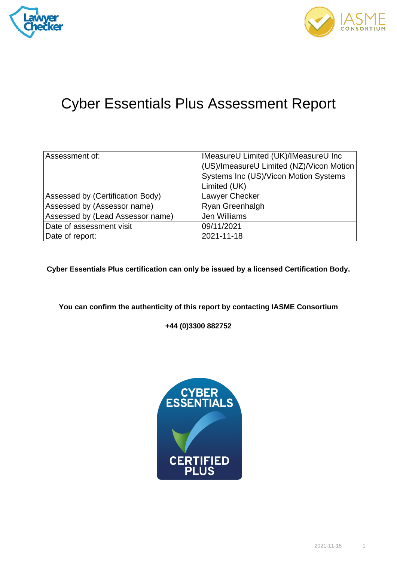



## Cyber Essentials Plus Assessment Report

| Assessment of:                   | IMeasureU Limited (UK)/IMeasureU Inc     |
|----------------------------------|------------------------------------------|
|                                  | (US)/ImeasureU Limited (NZ)/Vicon Motion |
|                                  | Systems Inc (US)/Vicon Motion Systems    |
|                                  | Limited (UK)                             |
| Assessed by (Certification Body) | Lawyer Checker                           |
| Assessed by (Assessor name)      | <b>Ryan Greenhalgh</b>                   |
| Assessed by (Lead Assessor name) | Jen Williams                             |
| Date of assessment visit         | 09/11/2021                               |
| Date of report:                  | 2021-11-18                               |

**Cyber Essentials Plus certification can only be issued by a licensed Certification Body.**

**You can confirm the authenticity of this report by contacting IASME Consortium**

**+44 (0)3300 882752**

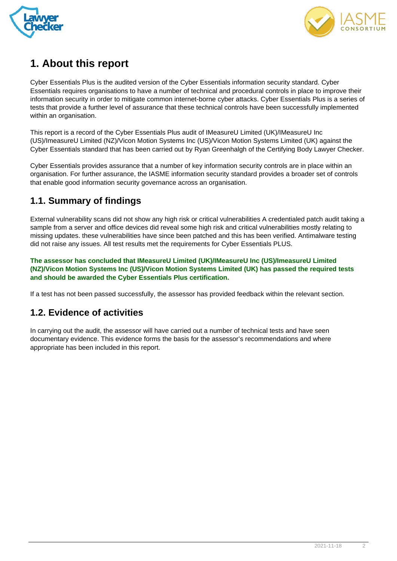



## **1. About this report**

Cyber Essentials Plus is the audited version of the Cyber Essentials information security standard. Cyber Essentials requires organisations to have a number of technical and procedural controls in place to improve their information security in order to mitigate common internet-borne cyber attacks. Cyber Essentials Plus is a series of tests that provide a further level of assurance that these technical controls have been successfully implemented within an organisation.

This report is a record of the Cyber Essentials Plus audit of IMeasureU Limited (UK)/IMeasureU Inc (US)/ImeasureU Limited (NZ)/Vicon Motion Systems Inc (US)/Vicon Motion Systems Limited (UK) against the Cyber Essentials standard that has been carried out by Ryan Greenhalgh of the Certifying Body Lawyer Checker.

Cyber Essentials provides assurance that a number of key information security controls are in place within an organisation. For further assurance, the IASME information security standard provides a broader set of controls that enable good information security governance across an organisation.

## **1.1. Summary of findings**

External vulnerability scans did not show any high risk or critical vulnerabilities A credentialed patch audit taking a sample from a server and office devices did reveal some high risk and critical vulnerabilities mostly relating to missing updates. these vulnerabilities have since been patched and this has been verified. Antimalware testing did not raise any issues. All test results met the requirements for Cyber Essentials PLUS.

**The assessor has concluded that IMeasureU Limited (UK)/IMeasureU Inc (US)/ImeasureU Limited (NZ)/Vicon Motion Systems Inc (US)/Vicon Motion Systems Limited (UK) has passed the required tests and should be awarded the Cyber Essentials Plus certification.**

If a test has not been passed successfully, the assessor has provided feedback within the relevant section.

## **1.2. Evidence of activities**

In carrying out the audit, the assessor will have carried out a number of technical tests and have seen documentary evidence. This evidence forms the basis for the assessor's recommendations and where appropriate has been included in this report.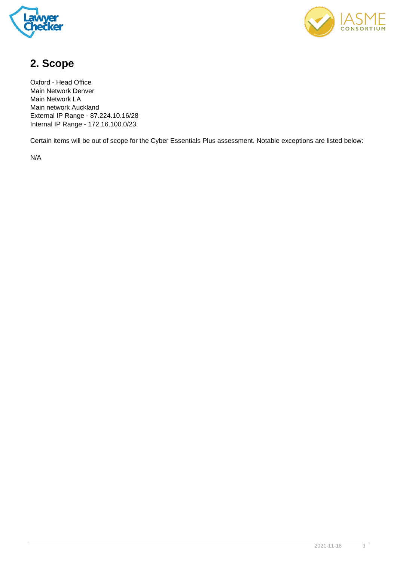



## **2. Scope**

Oxford - Head Office Main Network Denver Main Network LA Main network Auckland External IP Range - 87.224.10.16/28 Internal IP Range - 172.16.100.0/23

Certain items will be out of scope for the Cyber Essentials Plus assessment. Notable exceptions are listed below:

N/A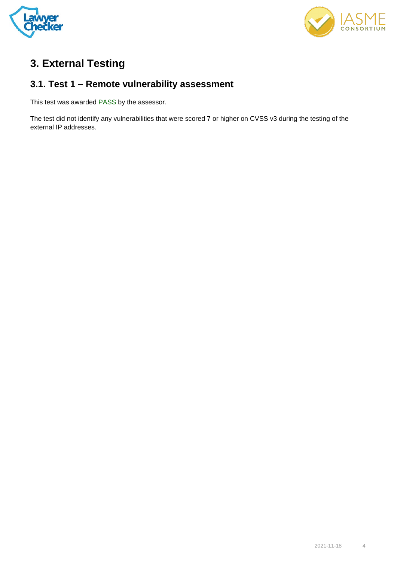



## **3. External Testing**

## **3.1. Test 1 – Remote vulnerability assessment**

This test was awarded PASS by the assessor.

The test did not identify any vulnerabilities that were scored 7 or higher on CVSS v3 during the testing of the external IP addresses.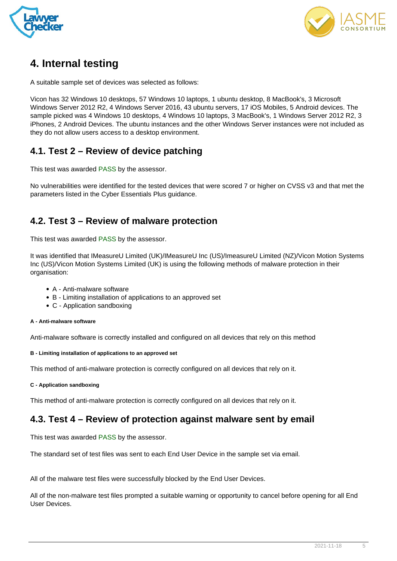



## **4. Internal testing**

A suitable sample set of devices was selected as follows:

Vicon has 32 Windows 10 desktops, 57 Windows 10 laptops, 1 ubuntu desktop, 8 MacBook's, 3 Microsoft Windows Server 2012 R2, 4 Windows Server 2016, 43 ubuntu servers, 17 iOS Mobiles, 5 Android devices. The sample picked was 4 Windows 10 desktops, 4 Windows 10 laptops, 3 MacBook's, 1 Windows Server 2012 R2, 3 iPhones, 2 Android Devices. The ubuntu instances and the other Windows Server instances were not included as they do not allow users access to a desktop environment.

## **4.1. Test 2 – Review of device patching**

This test was awarded PASS by the assessor.

No vulnerabilities were identified for the tested devices that were scored 7 or higher on CVSS v3 and that met the parameters listed in the Cyber Essentials Plus guidance.

## **4.2. Test 3 – Review of malware protection**

This test was awarded PASS by the assessor.

It was identified that IMeasureU Limited (UK)/IMeasureU Inc (US)/ImeasureU Limited (NZ)/Vicon Motion Systems Inc (US)/Vicon Motion Systems Limited (UK) is using the following methods of malware protection in their organisation:

- A Anti-malware software
- B Limiting installation of applications to an approved set
- C Application sandboxing

#### **A - Anti-malware software**

Anti-malware software is correctly installed and configured on all devices that rely on this method

#### **B - Limiting installation of applications to an approved set**

This method of anti-malware protection is correctly configured on all devices that rely on it.

**C - Application sandboxing**

This method of anti-malware protection is correctly configured on all devices that rely on it.

## **4.3. Test 4 – Review of protection against malware sent by email**

This test was awarded PASS by the assessor.

The standard set of test files was sent to each End User Device in the sample set via email.

All of the malware test files were successfully blocked by the End User Devices.

All of the non-malware test files prompted a suitable warning or opportunity to cancel before opening for all End User Devices.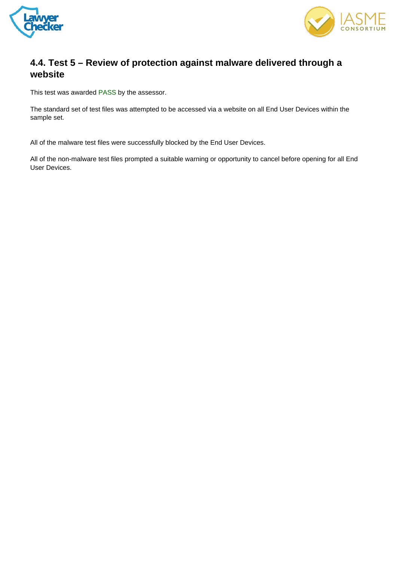



## **4.4. Test 5 – Review of protection against malware delivered through a website**

This test was awarded PASS by the assessor.

The standard set of test files was attempted to be accessed via a website on all End User Devices within the sample set.

All of the malware test files were successfully blocked by the End User Devices.

All of the non-malware test files prompted a suitable warning or opportunity to cancel before opening for all End User Devices.